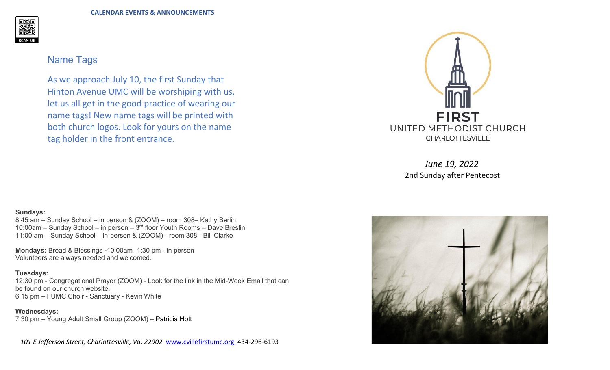**CALENDAR EVENTS & ANNOUNCEMENTS**



## Name Tags

As we approach July 10, the first Sunday that Hinton Avenue UMC will be worshiping with us, let us all get in the good practice of wearing our name tags! New name tags will be printed with both church logos. Look for yours on the name tag holder in the front entrance.

## **Sundays:**

8:45 am - Sunday School - in person & (ZOOM) - room 308- Kathy Berlin 10:00am  $-$  Sunday School  $-$  in person  $-$  3<sup>rd</sup> floor Youth Rooms  $-$  Dave Breslin 11:00 am - Sunday School - in-person & (ZOOM) - room 308 - Bill Clarke

**Mondays:** Bread & Blessings **-**10:00am -1:30 pm - in person Volunteers are always needed and welcomed.

## **Tuesdays:**

12:30 pm - Congregational Prayer (ZOOM) - Look for the link in the Mid-Week Email that can be found on our church website. 6:15 pm - FUMC Choir - Sanctuary - Kevin White

**Wednesdays:**

7:30 pm - Young Adult Small Group (ZOOM) - [Patricia Hott](mailto:patriciahott13@gmail.com)

 *101 E Jefferson Street, Charlottesville, Va. 22902* [www.cvillefirstumc.org](http://www.cvillefirstumc.org/) 434-296-6193



*June 19, 2022* 2nd Sunday after Pentecost